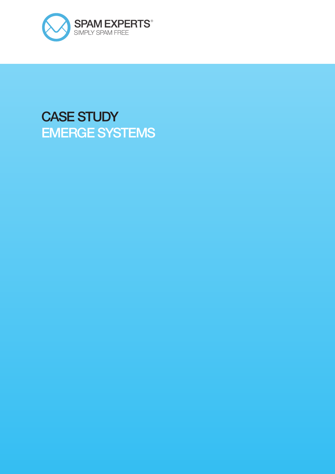

# CASE STUDY EMERGE SYSTEMS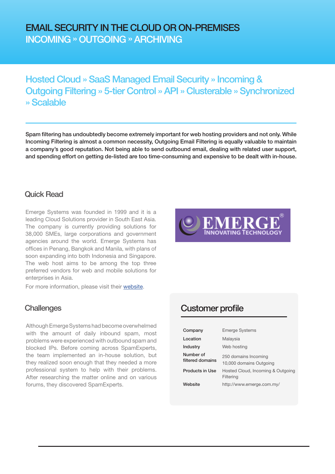## EMAIL SECURITY IN THE CLOUD OR ON-PREMISES INCOMING » OUTGOING » ARCHIVING

## Hosted Cloud » SaaS Managed Email Security » Incoming & Outgoing Filtering » 5-tier Control » API » Clusterable » Synchronized » Scalable

Spam filtering has undoubtedly become extremely important for web hosting providers and not only. While Incoming Filtering is almost a common necessity, Outgoing Email Filtering is equally valuable to maintain a company's good reputation. Not being able to send outbound email, dealing with related user support, and spending effort on getting de-listed are too time-consuming and expensive to be dealt with in-house.

### Quick Read

Emerge Systems was founded in 1999 and it is a leading Cloud Solutions provider in South East Asia. The company is currently providing solutions for 38,000 SMEs, large corporations and government agencies around the world. Emerge Systems has offices in Penang, Bangkok and Manila, with plans of soon expanding into both Indonesia and Singapore. The web host aims to be among the top three preferred vendors for web and mobile solutions for enterprises in Asia.

For more information, please visit their [website.](http://www.emerge.com.my/)

Although Emerge Systems had become overwhelmed with the amount of daily inbound spam, most problems were experienced with outbound spam and blocked IPs. Before coming across SpamExperts, the team implemented an in-house solution, but they realized soon enough that they needed a more professional system to help with their problems. After researching the matter online and on various forums, they discovered SpamExperts.



## Challenges Customer profile

| Company                       | <b>Emerge Systems</b>                           |
|-------------------------------|-------------------------------------------------|
| Location                      | Malaysia                                        |
| Industry                      | Web hosting                                     |
| Number of<br>filtered domains | 250 domains Incoming<br>10,000 domains Outgoing |
| <b>Products in Use</b>        | Hosted Cloud, Incoming & Outgoing<br>Filtering  |
| Website                       | http://www.emerge.com.my/                       |
|                               |                                                 |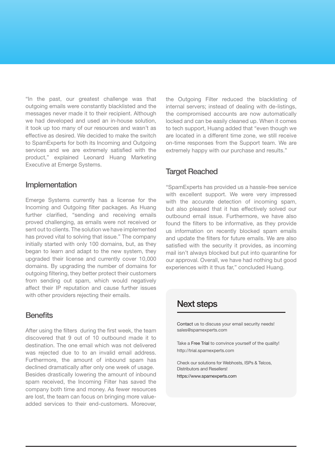services and we are extremely satisfied with the<br>product," explained Leonard Huang Marketing "In the past, our greatest challenge was that outgoing emails were constantly blacklisted and the messages never made it to their recipient. Although we had developed and used an in-house solution, it took up too many of our resources and wasn't as effective as desired. We decided to make the switch to SpamExperts for both its Incoming and Outgoing services and we are extremely satisfied with the Executive at Emerge Systems.

#### Implementation

Emerge Systems currently has a license for the Incoming and Outgoing filter packages. As Huang further clarified, "sending and receiving emails proved challenging, as emails were not received or sent out to clients. The solution we have implemented has proved vital to solving that issue." The company initially started with only 100 domains, but, as they began to learn and adapt to the new system, they upgraded their license and currently cover 10,000 domains. By upgrading the number of domains for outgoing filtering, they better protect their customers from sending out spam, which would negatively affect their IP reputation and cause further issues with other providers rejecting their emails.

#### **Benefits**

After using the filters during the first week, the team discovered that 9 out of 10 outbound made it to destination. The one email which was not delivered was rejected due to to an invalid email address. Furthermore, the amount of inbound spam has declined dramatically after only one week of usage. Besides drastically lowering the amount of inbound spam received, the Incoming Filter has saved the company both time and money. As fewer resources are lost, the team can focus on bringing more valueadded services to their end-customers. Moreover, the Outgoing Filter reduced the blacklisting of internal servers; instead of dealing with de-listings, the compromised accounts are now automatically locked and can be easily cleaned up. When it comes to tech support, Huang added that "even though we are located in a different time zone, we still receive on-time responses from the Support team. We are extremely happy with our purchase and results."

#### **Target Reached**

"SpamExperts has provided us a hassle-free service with excellent support. We were very impressed with the accurate detection of incoming spam. but also pleased that it has effectively solved our outbound email issue. Furthermore, we have also found the filters to be informative, as they provide us information on recently blocked spam emails and update the filters for future emails. We are also satisfied with the security it provides, as incoming mail isn't always blocked but put into quarantine for our approval. Overall, we have had nothing but good experiences with it thus far," concluded Huang.

### Next steps

Contact us to discuss your email security needs! sales@spamexperts.com

Take a Free Trial to convince yourself of the quality! <http://trial.spamexperts.com>

Check our solutions for Webhosts, ISPs & Telcos, Distributors and Resellers!

https://www.spamexperts.com